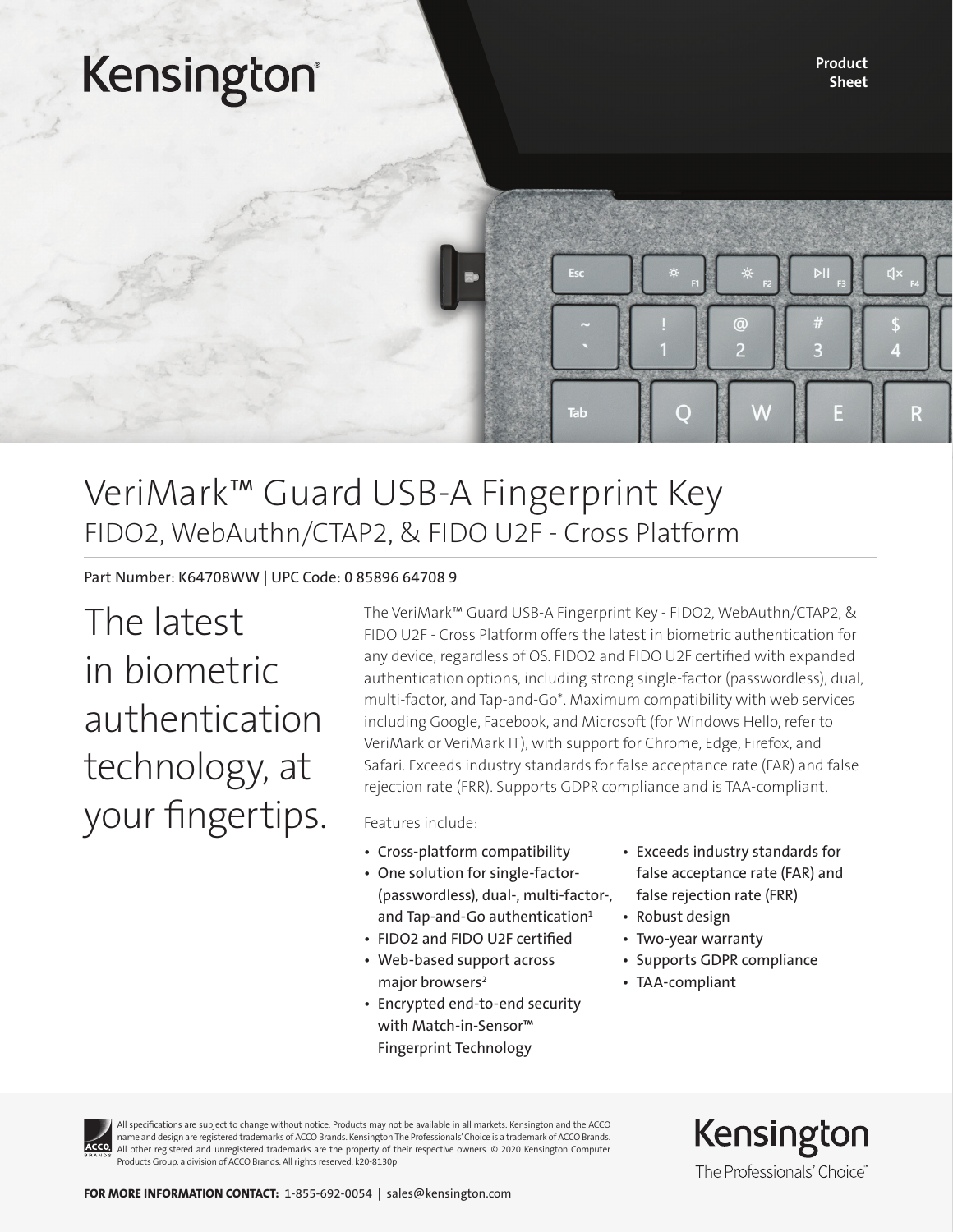# Kensington®

Product Sheet

## VeriMark™ Guard USB-A Fingerprint Key FIDO2, WebAuthn/CTAP2, & FIDO U2F - Cross Platform

Part Number: K64708WW | UPC Code: 0 85896 64708 9

The latest in biometric authentication technology, at your fingertips. The VeriMark™ Guard USB-A Fingerprint Key - FIDO2, WebAuthn/CTAP2, & FIDO U2F - Cross Platform offers the latest in biometric authentication for any device, regardless of OS. FIDO2 and FIDO U2F certified with expanded authentication options, including strong single-factor (passwordless), dual, multi-factor, and Tap-and-Go\*. Maximum compatibility with web services including Google, Facebook, and Microsoft (for Windows Hello, refer to VeriMark or VeriMark IT), with support for Chrome, Edge, Firefox, and Safari. Exceeds industry standards for false acceptance rate (FAR) and false rejection rate (FRR). Supports GDPR compliance and is TAA-compliant.

Tab

Features include:

- Cross-platform compatibility
- One solution for single-factor- (passwordless), dual-, multi-factor-, and Tap-and-Go authentication<sup>1</sup>
- FIDO2 and FIDO U2F certified
- Web-based support across major browsers<sup>2</sup>
- Encrypted end-to-end security with Match-in-Sensor™ Fingerprint Technology
- Exceeds industry standards for false acceptance rate (FAR) and false rejection rate (FRR)

 $\overline{\mathbf{a}}$ 

e

- Robust design
- Two-year warranty
- Supports GDPR compliance
- TAA-compliant

All specifications are subject to change without notice. Products may not be available in all markets. Kensington and the ACCO name and design are registered trademarks of ACCO Brands. Kensington The Professionals' Choice is a trademark of ACCO Brands. All other registered and unregistered trademarks are the property of their respective owners. © 2020 Kensington Computer Products Group, a division of ACCO Brands. All rights reserved. k20-8130p

Kensington The Professionals' Choice"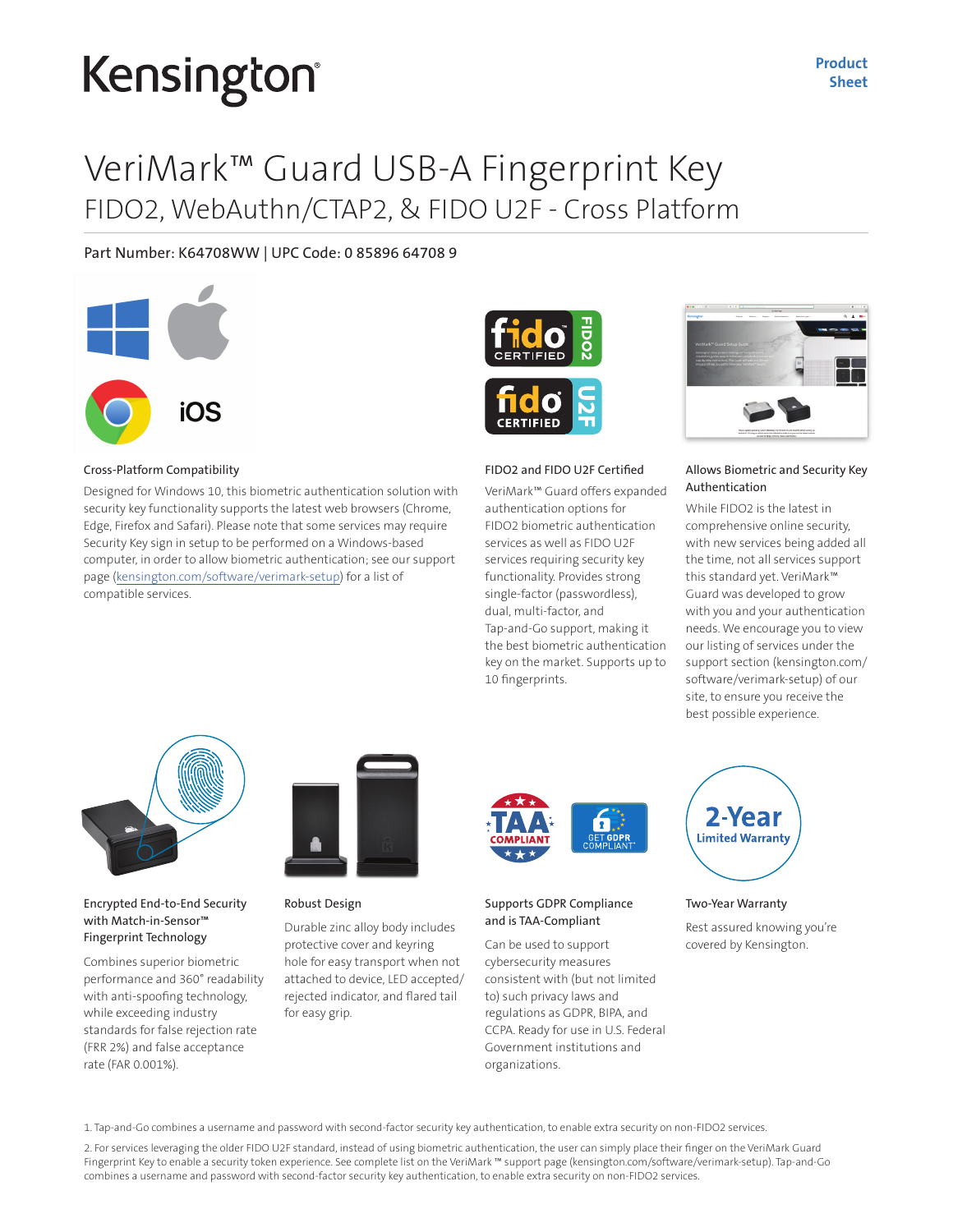# Kensington

Product Sheet

## VeriMark™ Guard USB-A Fingerprint Key FIDO2, WebAuthn/CTAP2, & FIDO U2F - Cross Platform

Part Number: K64708WW | UPC Code: 0 85896 64708 9



#### Cross-Platform Compatibility

Designed for Windows 10, this biometric authentication solution with security key functionality supports the latest web browsers (Chrome, Edge, Firefox and Safari). Please note that some services may require Security Key sign in setup to be performed on a Windows-based computer, in order to allow biometric authentication; see our support page (kensington.com/software/verimark-setup) for a list of compatible services.



#### FIDO2 and FIDO U2F Certified

VeriMark™ Guard offers expanded authentication options for FIDO2 biometric authentication services as well as FIDO U2F services requiring security key functionality. Provides strong single-factor (passwordless), dual, multi-factor, and Tap-and-Go support, making it the best biometric authentication key on the market. Supports up to 10 fingerprints.



#### Allows Biometric and Security Key Authentication

While FIDO2 is the latest in comprehensive online security, with new services being added all the time, not all services support this standard yet. VeriMark™ Guard was developed to grow with you and your authentication needs. We encourage you to view our listing of services under the support section (kensington.com/ software/verimark-setup) of our site, to ensure you receive the best possible experience.



#### Encrypted End-to-End Security with Match-in-Sensor™ Fingerprint Technology

Combines superior biometric performance and 360° readability with anti-spoofing technology, while exceeding industry standards for false rejection rate (FRR 2%) and false acceptance rate (FAR 0.001%).



#### Robust Design

Durable zinc alloy body includes protective cover and keyring hole for easy transport when not attached to device, LED accepted/ rejected indicator, and flared tail for easy grip.



#### Supports GDPR Compliance and is TAA-Compliant

Can be used to support cybersecurity measures consistent with (but not limited to) such privacy laws and regulations as GDPR, BIPA, and CCPA. Ready for use in U.S. Federal Government institutions and organizations.



#### Two-Year Warranty

Rest assured knowing you're covered by Kensington.

1. Tap-and-Go combines a username and password with second-factor security key authentication, to enable extra security on non-FIDO2 services.

2. For services leveraging the older FIDO U2F standard, instead of using biometric authentication, the user can simply place their finger on the VeriMark Guard Fingerprint Key to enable a security token experience. See complete list on the VeriMark ™ support page (kensington.com/software/verimark-setup). Tap-and-Go combines a username and password with second-factor security key authentication, to enable extra security on non-FIDO2 services.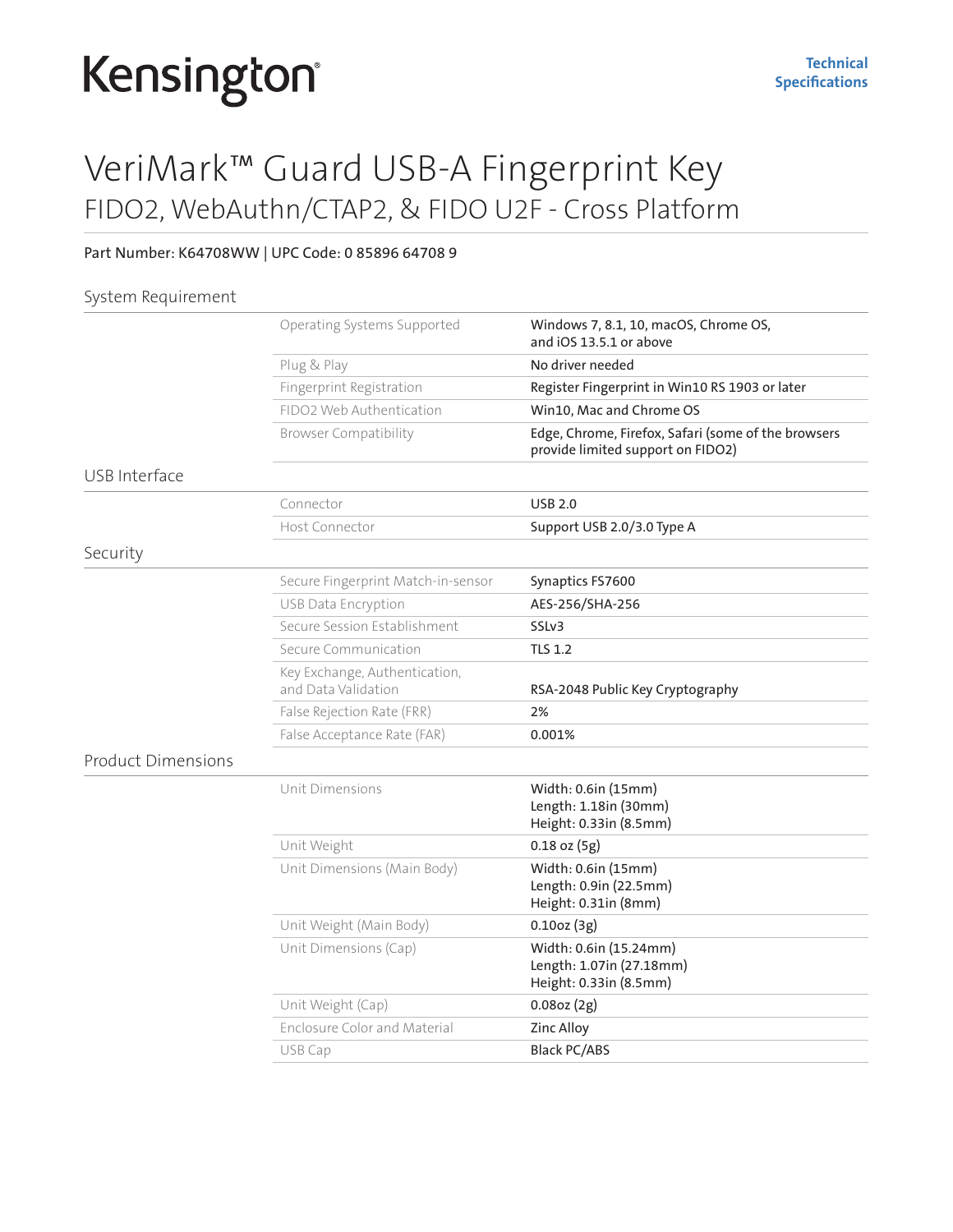# Kensington®

## VeriMark™ Guard USB-A Fingerprint Key FIDO2, WebAuthn/CTAP2, & FIDO U2F - Cross Platform

### Part Number: K64708WW | UPC Code: 0 85896 64708 9

### System Requirement

|                           | Operating Systems Supported                          | Windows 7, 8.1, 10, macOS, Chrome OS,<br>and iOS 13.5.1 or above                         |
|---------------------------|------------------------------------------------------|------------------------------------------------------------------------------------------|
|                           | Plug & Play                                          | No driver needed                                                                         |
|                           | Fingerprint Registration                             | Register Fingerprint in Win10 RS 1903 or later                                           |
|                           | FIDO2 Web Authentication                             | Win10, Mac and Chrome OS                                                                 |
|                           | <b>Browser Compatibility</b>                         | Edge, Chrome, Firefox, Safari (some of the browsers<br>provide limited support on FIDO2) |
| USB Interface             |                                                      |                                                                                          |
|                           | Connector                                            | <b>USB 2.0</b>                                                                           |
|                           | Host Connector                                       | Support USB 2.0/3.0 Type A                                                               |
| Security                  |                                                      |                                                                                          |
|                           | Secure Fingerprint Match-in-sensor                   | Synaptics FS7600                                                                         |
|                           | USB Data Encryption                                  | AES-256/SHA-256                                                                          |
|                           | Secure Session Establishment                         | SSLv3                                                                                    |
|                           | Secure Communication                                 | <b>TLS 1.2</b>                                                                           |
|                           | Key Exchange, Authentication,<br>and Data Validation | RSA-2048 Public Key Cryptography                                                         |
|                           | False Rejection Rate (FRR)                           | 2%                                                                                       |
|                           | False Acceptance Rate (FAR)                          | 0.001%                                                                                   |
| <b>Product Dimensions</b> |                                                      |                                                                                          |
|                           | Unit Dimensions                                      | Width: 0.6in (15mm)<br>Length: 1.18in (30mm)<br>Height: 0.33in (8.5mm)                   |
|                           | Unit Weight                                          | $0.18$ oz $(5g)$                                                                         |
|                           | Unit Dimensions (Main Body)                          | Width: 0.6in (15mm)<br>Length: 0.9in (22.5mm)<br>Height: 0.31in (8mm)                    |
|                           | Unit Weight (Main Body)                              | 0.10oz(3g)                                                                               |
|                           | Unit Dimensions (Cap)                                | Width: 0.6in (15.24mm)<br>Length: 1.07in (27.18mm)<br>Height: 0.33in (8.5mm)             |
|                           | Unit Weight (Cap)                                    | $0.08$ oz $(2g)$                                                                         |
|                           | <b>Enclosure Color and Material</b>                  | Zinc Alloy                                                                               |
|                           | USB Cap                                              | <b>Black PC/ABS</b>                                                                      |
|                           |                                                      |                                                                                          |